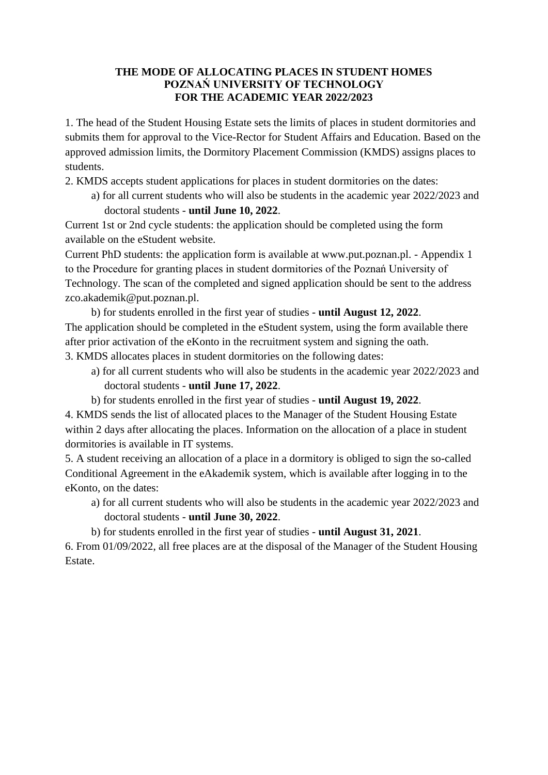## **THE MODE OF ALLOCATING PLACES IN STUDENT HOMES POZNAŃ UNIVERSITY OF TECHNOLOGY FOR THE ACADEMIC YEAR 2022/2023**

1. The head of the Student Housing Estate sets the limits of places in student dormitories and submits them for approval to the Vice-Rector for Student Affairs and Education. Based on the approved admission limits, the Dormitory Placement Commission (KMDS) assigns places to students.

2. KMDS accepts student applications for places in student dormitories on the dates:

a) for all current students who will also be students in the academic year 2022/2023 and doctoral students - **until June 10, 2022**.

Current 1st or 2nd cycle students: the application should be completed using the form available on the eStudent website.

Current PhD students: the application form is available at www.put.poznan.pl. - Appendix 1 to the Procedure for granting places in student dormitories of the Poznań University of Technology. The scan of the completed and signed application should be sent to the address zco.akademik@put.poznan.pl.

b) for students enrolled in the first year of studies - **until August 12, 2022**. The application should be completed in the eStudent system, using the form available there after prior activation of the eKonto in the recruitment system and signing the oath. 3. KMDS allocates places in student dormitories on the following dates:

- a) for all current students who will also be students in the academic year 2022/2023 and doctoral students - **until June 17, 2022**.
- b) for students enrolled in the first year of studies **until August 19, 2022**.

4. KMDS sends the list of allocated places to the Manager of the Student Housing Estate within 2 days after allocating the places. Information on the allocation of a place in student dormitories is available in IT systems.

5. A student receiving an allocation of a place in a dormitory is obliged to sign the so-called Conditional Agreement in the eAkademik system, which is available after logging in to the eKonto, on the dates:

- a) for all current students who will also be students in the academic year 2022/2023 and doctoral students - **until June 30, 2022**.
- b) for students enrolled in the first year of studies **until August 31, 2021**.

6. From 01/09/2022, all free places are at the disposal of the Manager of the Student Housing Estate.